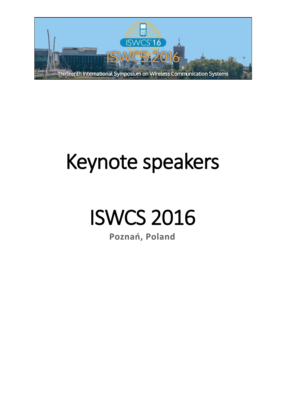

# Keynote speakers

## ISWCS 2016

**Poznań, Poland**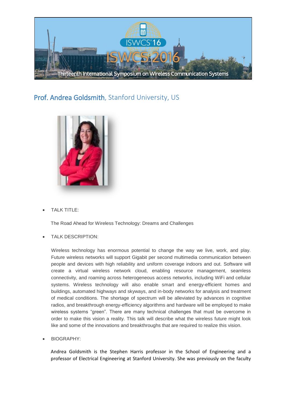

#### Prof. Andrea Goldsmith, Stanford University, US



TALK TITLE:

The Road Ahead for Wireless Technology: Dreams and Challenges

TALK DESCRIPTION:

Wireless technology has enormous potential to change the way we live, work, and play. Future wireless networks will support Gigabit per second multimedia communication between people and devices with high reliability and uniform coverage indoors and out. Software will create a virtual wireless network cloud, enabling resource management, seamless connectivity, and roaming across heterogeneous access networks, including WiFi and cellular systems. Wireless technology will also enable smart and energy-efficient homes and buildings, automated highways and skyways, and in-body networks for analysis and treatment of medical conditions. The shortage of spectrum will be alleviated by advances in cognitive radios, and breakthrough energy-efficiency algorithms and hardware will be employed to make wireless systems "green". There are many technical challenges that must be overcome in order to make this vision a reality. This talk will describe what the wireless future might look like and some of the innovations and breakthroughs that are required to realize this vision.

BIOGRAPHY:

Andrea Goldsmith is the Stephen Harris professor in the School of Engineering and a professor of Electrical Engineering at Stanford University. She was previously on the faculty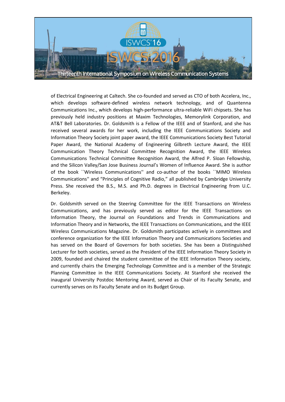

of Electrical Engineering at Caltech. She co-founded and served as CTO of both Accelera, Inc., which develops software-defined wireless network technology, and of Quantenna Communications Inc., which develops high-performance ultra-reliable WiFi chipsets. She has previously held industry positions at Maxim Technologies, Memorylink Corporation, and AT&T Bell Laboratories. Dr. Goldsmith is a Fellow of the IEEE and of Stanford, and she has received several awards for her work, including the IEEE Communications Society and Information Theory Society joint paper award, the IEEE Communications Society Best Tutorial Paper Award, the National Academy of Engineering Gilbreth Lecture Award, the IEEE Communication Theory Technical Committee Recognition Award, the IEEE Wireless Communications Technical Committee Recognition Award, the Alfred P. Sloan Fellowship, and the Silicon Valley/San Jose Business Journal's Women of Influence Award. She is author of the book ``Wireless Communications'' and co-author of the books ``MIMO Wireless Communications'' and "Principles of Cognitive Radio," all published by Cambridge University Press. She received the B.S., M.S. and Ph.D. degrees in Electrical Engineering from U.C. Berkeley.

Dr. Goldsmith served on the Steering Committee for the IEEE Transactions on Wireless Communications, and has previously served as editor for the IEEE Transactions on Information Theory, the Journal on Foundations and Trends in Communications and Information Theory and in Networks, the IEEE Transactions on Communications, and the IEEE Wireless Communications Magazine. Dr. Goldsmith participates actively in committees and conference organization for the IEEE Information Theory and Communications Societies and has served on the Board of Governors for both societies. She has been a Distinguished Lecturer for both societies, served as the President of the IEEE Information Theory Society in 2009, founded and chaired the student committee of the IEEE Information Theory society, and currently chairs the Emerging Technology Committee and is a member of the Strategic Planning Committee in the IEEE Communications Society. At Stanford she received the inaugural University Postdoc Mentoring Award, served as Chair of its Faculty Senate, and currently serves on its Faculty Senate and on its Budget Group.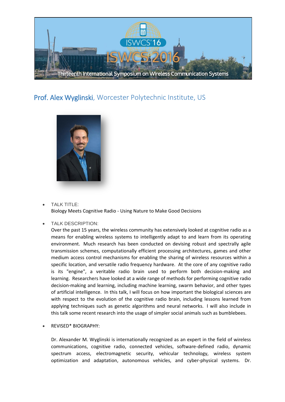

#### Prof. Alex Wyglinski, Worcester Polytechnic Institute, US



- TALK TITLE: Biology Meets Cognitive Radio - Using Nature to Make Good Decisions
- TALK DESCRIPTION:

Over the past 15 years, the wireless community has extensively looked at cognitive radio as a means for enabling wireless systems to intelligently adapt to and learn from its operating environment. Much research has been conducted on devising robust and spectrally agile transmission schemes, computationally efficient processing architectures, games and other medium access control mechanisms for enabling the sharing of wireless resources within a specific location, and versatile radio frequency hardware. At the core of any cognitive radio is its "engine", a veritable radio brain used to perform both decision-making and learning. Researchers have looked at a wide range of methods for performing cognitive radio decision-making and learning, including machine learning, swarm behavior, and other types of artificial intelligence. In this talk, I will focus on how important the biological sciences are with respect to the evolution of the cognitive radio brain, including lessons learned from applying techniques such as genetic algorithms and neural networks. I will also include in this talk some recent research into the usage of simpler social animals such as bumblebees.

REVISED\* BIOGRAPHY:

Dr. Alexander M. Wyglinski is internationally recognized as an expert in the field of wireless communications, cognitive radio, connected vehicles, software-defined radio, dynamic spectrum access, electromagnetic security, vehicular technology, wireless system optimization and adaptation, autonomous vehicles, and cyber-physical systems. Dr.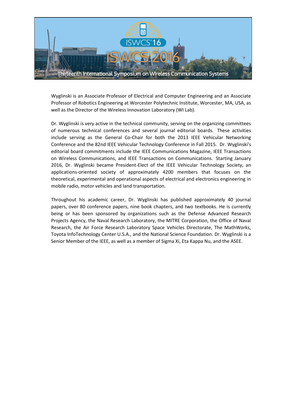

Wyglinski is an Associate Professor of Electrical and Computer Engineering and an Associate Professor of Robotics Engineering at Worcester Polytechnic Institute, Worcester, MA, USA, as well as the Director of the Wireless Innovation Laboratory (WI Lab).

Dr. Wyglinski is very active in the technical community, serving on the organizing committees of numerous technical conferences and several journal editorial boards. These activities include serving as the General Co-Chair for both the 2013 IEEE Vehicular Networking Conference and the 82nd IEEE Vehicular Technology Conference in Fall 2015. Dr. Wyglinski's editorial board commitments include the IEEE Communications Magazine, IEEE Transactions on Wireless Communications, and IEEE Transactions on Communications. Starting January 2016, Dr. Wyglinski became President-Elect of the IEEE Vehicular Technology Society, an applications-oriented society of approximately 4200 members that focuses on the theoretical, experimental and operational aspects of electrical and electronics engineering in mobile radio, motor vehicles and land transportation.

Throughout his academic career, Dr. Wyglinski has published approximately 40 journal papers, over 80 conference papers, nine book chapters, and two textbooks. He is currently being or has been sponsored by organizations such as the Defense Advanced Research Projects Agency, the Naval Research Laboratory, the MITRE Corporation, the Office of Naval Research, the Air Force Research Laboratory Space Vehicles Directorate, The MathWorks, Toyota InfoTechnology Center U.S.A., and the National Science Foundation. Dr. Wyglinski is a Senior Member of the IEEE, as well as a member of Sigma Xi, Eta Kappa Nu, and the ASEE.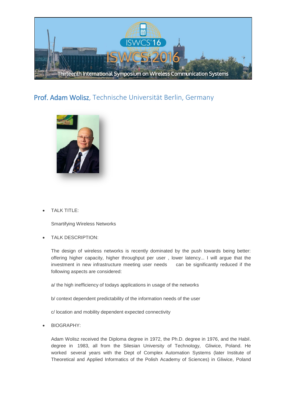

#### Prof. Adam Wolisz, Technische Universität Berlin, Germany



TALK TITLE:

Smartifying Wireless Networks

TALK DESCRIPTION:

The design of wireless networks is recently dominated by the push towards being better: offering higher capacity, higher throughput per user , lower latency... I will argue that the investment in new infrastructure meeting user needs can be significantly reduced if the following aspects are considered:

a/ the high inefficiency of todays applications in usage of the networks

b/ context dependent predictability of the information needs of the user

c/ location and mobility dependent expected connectivity

BIOGRAPHY:

Adam Wolisz received the Diploma degree in 1972, the Ph.D. degree in 1976, and the Habil. degree in 1983, all from the Silesian University of Technology, Gliwice, Poland. He worked several years with the Dept of Complex Automation Systems (later Institute of Theoretical and Applied Informatics of the Polish Academy of Sciences) in Gliwice, Poland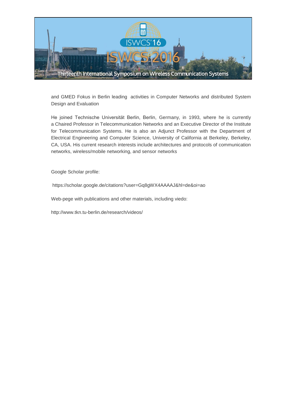

and GMED Fokus in Berlin leading activities in Computer Networks and distributed System Design and Evaluation

He joined Technische Universität Berlin, Berlin, Germany, in 1993, where he is currently a Chaired [Professor in Telecommunication Networks](https://poczta.put.poznan.pl/zimbra/www.tkn.tu-berlin.de) and an Executive Director of the Institute for Telecommunication Systems. He is also an Adjunct Professor with the Department of Electrical Engineering and Computer Science, University of California at Berkeley, Berkeley, CA, USA. His current research interests include architectures and protocols of communication networks, wireless/mobile networking, and sensor networks

Google Scholar profile:

https://scholar.google.de/citations?user=Gq8gWX4AAAAJ&hl=de&oi=ao

Web-pege with publications and other materials, including viedo:

http://www.tkn.tu-berlin.de/research/videos/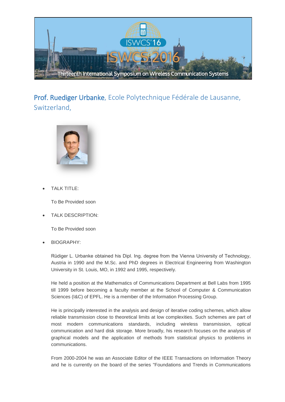

### Prof. Ruediger Urbanke, Ecole Polytechnique Fédérale de Lausanne, Switzerland,



TALK TITLE:

To Be Provided soon

TALK DESCRIPTION:

To Be Provided soon

BIOGRAPHY:

Rüdiger L. Urbanke obtained his Dipl. Ing. degree from the Vienna University of Technology, Austria in 1990 and the M.Sc. and PhD degrees in Electrical Engineering from Washington University in St. Louis, MO, in 1992 and 1995, respectively.

He held a position at the Mathematics of Communications Department at Bell Labs from 1995 till 1999 before becoming a faculty member at the School of Computer & Communication Sciences (I&C) of EPFL. He is a member of the Information Processing Group.

He is principally interested in the analysis and design of iterative coding schemes, which allow reliable transmission close to theoretical limits at low complexities. Such schemes are part of most modern communications standards, including wireless transmission, optical communication and hard disk storage. More broadly, his research focuses on the analysis of graphical models and the application of methods from statistical physics to problems in communications.

From 2000-2004 he was an Associate Editor of the IEEE Transactions on Information Theory and he is currently on the board of the series "Foundations and Trends in Communications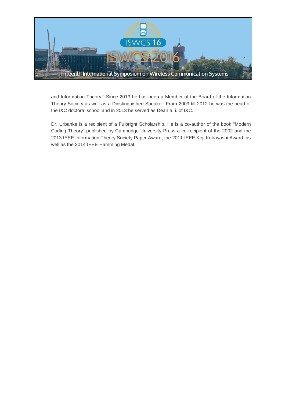

and Information Theory." Since 2013 he has been a Member of the Board of the Information Theory Society as well as a Dinstinguished Speaker. From 2009 till 2012 he was the head of the I&C doctoral school and in 2013 he served as Dean a. i. of I&C.

Dr. Urbanke is a recipient of a Fulbright Scholarship. He is a co-author of the book "Modern Coding Theory" published by Cambridge University Press a co-recipient of the 2002 and the 2013 IEEE Information Theory Society Paper Award, the 2011 IEEE Koji Kobayashi Award, as well as the 2014 IEEE Hamming Medal.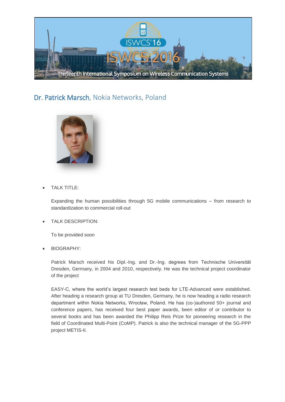

#### Dr. Patrick Marsch, Nokia Networks, Poland



TALK TITLE:

Expanding the human possibilities through 5G mobile communications – from research to standardization to commercial roll-out

TALK DESCRIPTION:

To be provided soon

BIOGRAPHY:

Patrick Marsch received his Dipl.-Ing. and Dr.-Ing. degrees from Technische Universität Dresden, Germany, in 2004 and 2010, respectively. He was the technical project coordinator of the project

EASY-C, where the world's largest research test beds for LTE-Advanced were established. After heading a research group at TU Dresden, Germany, he is now heading a radio research department within Nokia Networks, Wrocław, Poland. He has (co-)authored 50+ journal and conference papers, has received four best paper awards, been editor of or contributor to several books and has been awarded the Philipp Reis Prize for pioneering research in the field of Coordinated Multi-Point (CoMP). Patrick is also the technical manager of the 5G-PPP project METIS-II.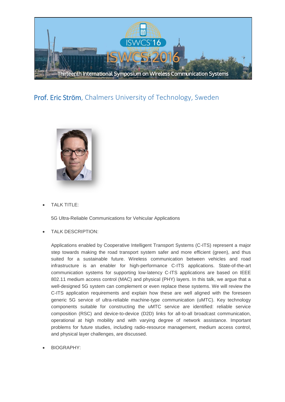

#### Prof. Eric Ström, Chalmers University of Technology, Sweden



TALK TITLE:

5G Ultra-Reliable Communications for Vehicular Applications

TALK DESCRIPTION:

Applications enabled by Cooperative Intelligent Transport Systems (C-ITS) represent a major step towards making the road transport system safer and more efficient (green), and thus suited for a sustainable future. Wireless communication between vehicles and road infrastructure is an enabler for high-performance C-ITS applications. State-of-the-art communication systems for supporting low-latency C-ITS applications are based on IEEE 802.11 medium access control (MAC) and physical (PHY) layers. In this talk, we argue that a well-designed 5G system can complement or even replace these systems. We will review the C-ITS application requirements and explain how these are well aligned with the foreseen generic 5G service of ultra-reliable machine-type communication (uMTC). Key technology components suitable for constructing the uMTC service are identified: reliable service composition (RSC) and device-to-device (D2D) links for all-to-all broadcast communication, operational at high mobility and with varying degree of network assistance. Important problems for future studies, including radio-resource management, medium access control, and physical layer challenges, are discussed.

BIOGRAPHY: